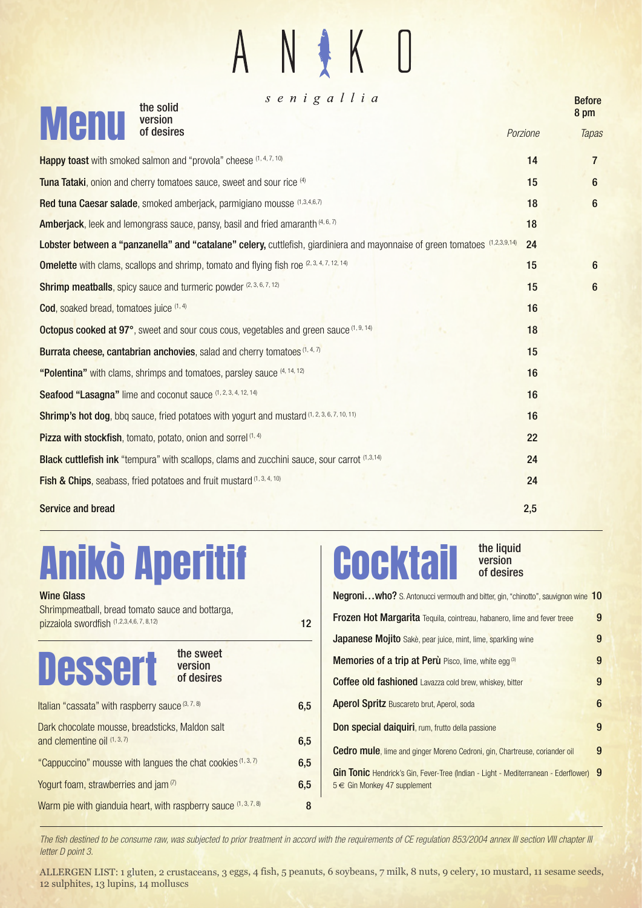#### $\sqrt{ }$  $\mathsf{K}$

| senigallia<br>the solid<br>version                                                                                          |          | <b>Before</b><br>8 pm |
|-----------------------------------------------------------------------------------------------------------------------------|----------|-----------------------|
| <b>Menu</b><br>of desires                                                                                                   | Porzione | Tapas                 |
| Happy toast with smoked salmon and "provola" cheese (1, 4, 7, 10)                                                           | 14       | $\overline{7}$        |
| Tuna Tataki, onion and cherry tomatoes sauce, sweet and sour rice (4)                                                       | 15       | 6                     |
| Red tuna Caesar salade, smoked amberjack, parmigiano mousse (1,3,4,6,7)                                                     | 18       | $6\phantom{1}$        |
| <b>Amberjack</b> , leek and lemongrass sauce, pansy, basil and fried amaranth (4, 6, 7)                                     | 18       |                       |
| Lobster between a "panzanella" and "catalane" celery, cuttlefish, giardiniera and mayonnaise of green tomatoes (1,2,3,9,14) | 24       |                       |
| <b>Omelette</b> with clams, scallops and shrimp, tomato and flying fish roe (2, 3, 4, 7, 12, 14)                            | 15       | 6                     |
| Shrimp meatballs, spicy sauce and turmeric powder (2, 3, 6, 7, 12)                                                          | 15       | $\boldsymbol{6}$      |
| Cod, soaked bread, tomatoes juice (1, 4)                                                                                    | 16       |                       |
| Octopus cooked at 97°, sweet and sour cous cous, vegetables and green sauce (1, 9, 14)                                      | 18       |                       |
| Burrata cheese, cantabrian anchovies, salad and cherry tomatoes (1, 4, 7)                                                   | 15       |                       |
| "Polentina" with clams, shrimps and tomatoes, parsley sauce (4, 14, 12)                                                     | 16       |                       |
| Seafood "Lasagna" lime and coconut sauce (1, 2, 3, 4, 12, 14)                                                               | 16       |                       |
| Shrimp's hot dog, bbq sauce, fried potatoes with yogurt and mustard (1, 2, 3, 6, 7, 10, 11)                                 | 16       |                       |
| Pizza with stockfish, tomato, potato, onion and sorrel <sup>(1, 4)</sup>                                                    | 22       |                       |
| <b>Black cuttlefish ink</b> "tempura" with scallops, clams and zucchini sauce, sour carrot (1,3,14)                         | 24       |                       |
| <b>Fish &amp; Chips, seabass, fried potatoes and fruit mustard (1, 3, 4, 10)</b>                                            | 24       |                       |
| <b>Service and bread</b>                                                                                                    | 2,5      |                       |

## Anikò Aperitif

| <b>Wine Glass</b><br>Shrimpmeatball, bread tomato sauce and bottarga,             |     |
|-----------------------------------------------------------------------------------|-----|
| pizzaiola swordfish (1,2,3,4,6, 7, 8,12)                                          | 12  |
| the sweet<br><b>Dessert version</b>                                               |     |
| Italian "cassata" with raspberry sauce (3, 7, 8)                                  | 6,5 |
| Dark chocolate mousse, breadsticks, Maldon salt<br>and clementine oil $(1, 3, 7)$ | 6,5 |
| "Cappuccino" mousse with langues the chat cookies (1, 3, 7)                       | 6,5 |
| Yogurt foam, strawberries and jam <sup>(7)</sup>                                  | 6,5 |
| Warm pie with gianduia heart, with raspberry sauce (1, 3, 7, 8)                   | 8   |

### **Cocktail**

#### Negroni...who? S. Antonucci vermouth and bitter, gin, "chinotto", sauvignon wine 10 Frozen Hot Margarita Tequila, cointreau, habanero, lime and fever treee 9 Japanese Mojito Sakè, pear juice, mint, lime, sparkling wine 9 **Memories of a trip at Perù** Pisco, lime, white egg<sup>(3)</sup> 9 Coffee old fashioned Lavazza cold brew, whiskey, bitter 9 **Aperol Spritz** Buscareto brut, Aperol, soda **6 Don special daiquiri**, rum, frutto della passione **9** Cedro mule, lime and ginger Moreno Cedroni, gin, Chartreuse, coriander oil 9 of desires

the liquid version

Gin Tonic Hendrick's Gin, Fever-Tree (Indian - Light - Mediterranean - Ederflower) 9 5 € Gin Monkey 47 supplement

The fish destined to be consume raw, was subjected to prior treatment in accord with the requirements of CE regulation 853/2004 annex III section VIII chapter III letter D point 3.

ALLERGEN LIST: 1 gluten, 2 crustaceans, 3 eggs, 4 fish, 5 peanuts, 6 soybeans, 7 milk, 8 nuts, 9 celery, 10 mustard, 11 sesame seeds, 12 sulphites, 13 lupins, 14 molluscs